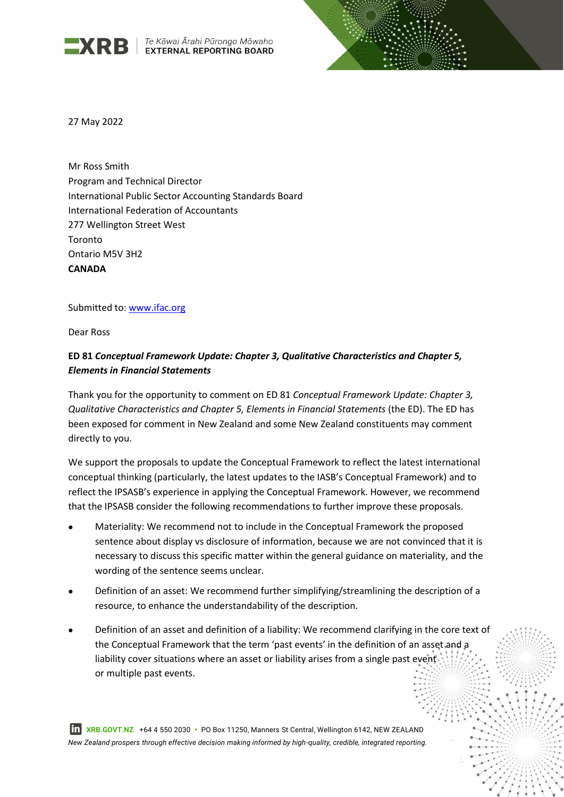

 $\mathbf{R}$   $\mathbf{R}$   $\mathbf{B}$   $\left\{ \begin{array}{l}$  Te Kāwai Ārahi Pūrongo Mōwaho



27 May 2022

Mr Ross Smith Program and Technical Director International Public Sector Accounting Standards Board International Federation of Accountants 277 Wellington Street West Toronto Ontario M5V 3H2 **CANADA**

Submitted to: [www.ifac.org](http://www.ifac.org/)

Dear Ross

# **ED 81** *Conceptual Framework Update: Chapter 3, Qualitative Characteristics and Chapter 5, Elements in Financial Statements*

Thank you for the opportunity to comment on ED 81 *Conceptual Framework Update: Chapter 3, Qualitative Characteristics and Chapter 5, Elements in Financial Statements* (the ED). The ED has been exposed for comment in New Zealand and some New Zealand constituents may comment directly to you.

We support the proposals to update the Conceptual Framework to reflect the latest international conceptual thinking (particularly, the latest updates to the IASB's Conceptual Framework) and to reflect the IPSASB's experience in applying the Conceptual Framework. However, we recommend that the IPSASB consider the following recommendations to further improve these proposals.

- Materiality: We recommend not to include in the Conceptual Framework the proposed sentence about display vs disclosure of information, because we are not convinced that it is necessary to discuss this specific matter within the general guidance on materiality, and the wording of the sentence seems unclear.
- Definition of an asset: We recommend further simplifying/streamlining the description of a resource, to enhance the understandability of the description.
- Definition of an asset and definition of a liability: We recommend clarifying in the core text of the Conceptual Framework that the term 'past events' in the definition of an asset and a liability cover situations where an asset or liability arises from a single past event or multiple past events.

 **XRB.GOVT.NZ** +64 4 550 2030 **•** PO Box 11250, Manners St Central, Wellington 6142, NEW ZEALAND *New Zealand prospers through effective decision making informed by high-quality, credible, integrated reporting.*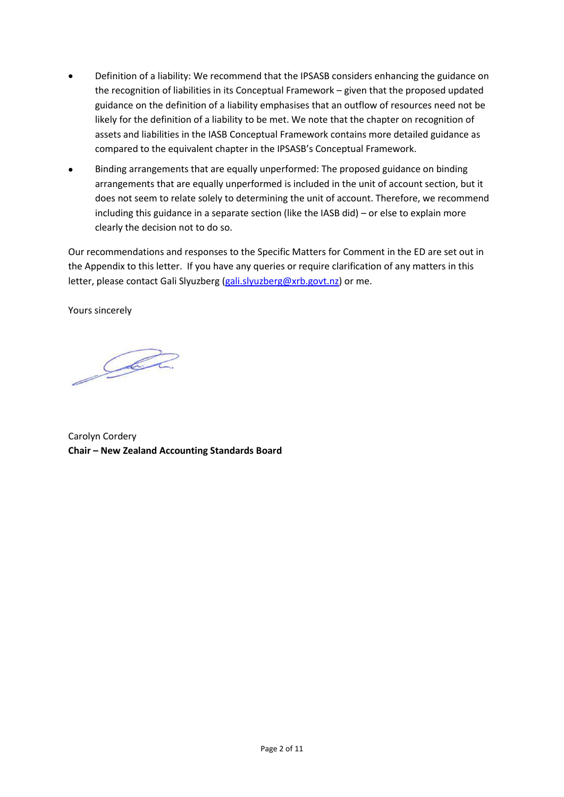- Definition of a liability: We recommend that the IPSASB considers enhancing the guidance on the recognition of liabilities in its Conceptual Framework – given that the proposed updated guidance on the definition of a liability emphasises that an outflow of resources need not be likely for the definition of a liability to be met. We note that the chapter on recognition of assets and liabilities in the IASB Conceptual Framework contains more detailed guidance as compared to the equivalent chapter in the IPSASB's Conceptual Framework.
- Binding arrangements that are equally unperformed: The proposed guidance on binding arrangements that are equally unperformed is included in the unit of account section, but it does not seem to relate solely to determining the unit of account. Therefore, we recommend including this guidance in a separate section (like the IASB did) – or else to explain more clearly the decision not to do so.

Our recommendations and responses to the Specific Matters for Comment in the ED are set out in the Appendix to this letter. If you have any queries or require clarification of any matters in this letter, please contact Gali Slyuzberg [\(gali.slyuzberg@xrb.govt.nz\)](mailto:gali.slyuzberg@xrb.govt.nz) or me.

Yours sincerely

DER

Carolyn Cordery **Chair – New Zealand Accounting Standards Board**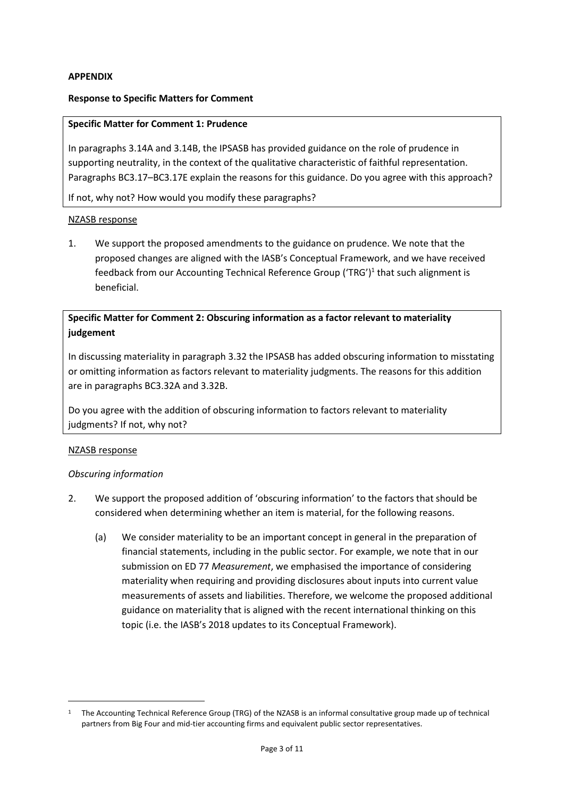## **APPENDIX**

#### **Response to Specific Matters for Comment**

#### **Specific Matter for Comment 1: Prudence**

In paragraphs 3.14A and 3.14B, the IPSASB has provided guidance on the role of prudence in supporting neutrality, in the context of the qualitative characteristic of faithful representation. Paragraphs BC3.17–BC3.17E explain the reasons for this guidance. Do you agree with this approach?

If not, why not? How would you modify these paragraphs?

#### NZASB response

1. We support the proposed amendments to the guidance on prudence. We note that the proposed changes are aligned with the IASB's Conceptual Framework, and we have received feedback from our Accounting Technical Reference Group ('TRG')<sup>1</sup> that such alignment is beneficial.

## **Specific Matter for Comment 2: Obscuring information as a factor relevant to materiality judgement**

In discussing materiality in paragraph 3.32 the IPSASB has added obscuring information to misstating or omitting information as factors relevant to materiality judgments. The reasons for this addition are in paragraphs BC3.32A and 3.32B.

Do you agree with the addition of obscuring information to factors relevant to materiality judgments? If not, why not?

#### NZASB response

#### *Obscuring information*

- 2. We support the proposed addition of 'obscuring information' to the factors that should be considered when determining whether an item is material, for the following reasons.
	- (a) We consider materiality to be an important concept in general in the preparation of financial statements, including in the public sector. For example, we note that in our submission on ED 77 *Measurement*, we emphasised the importance of considering materiality when requiring and providing disclosures about inputs into current value measurements of assets and liabilities. Therefore, we welcome the proposed additional guidance on materiality that is aligned with the recent international thinking on this topic (i.e. the IASB's 2018 updates to its Conceptual Framework).

<sup>&</sup>lt;sup>1</sup> The Accounting Technical Reference Group (TRG) of the NZASB is an informal consultative group made up of technical partners from Big Four and mid-tier accounting firms and equivalent public sector representatives.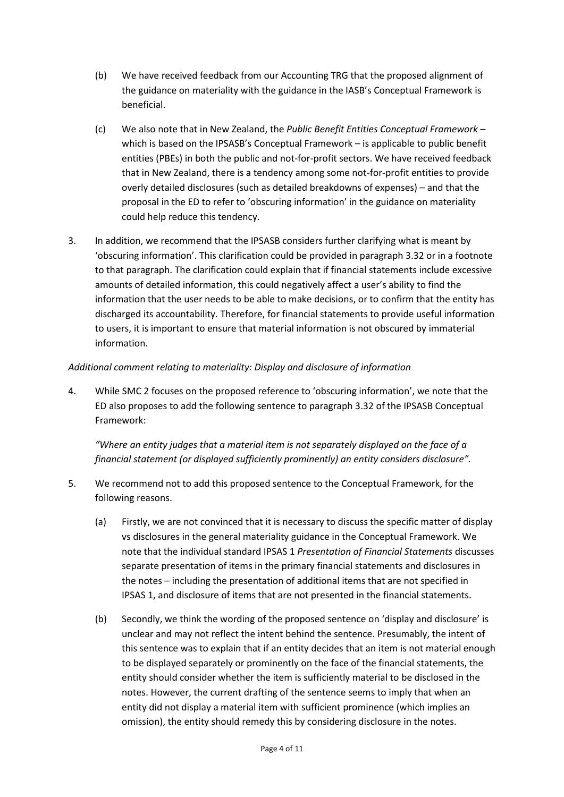- (b) We have received feedback from our Accounting TRG that the proposed alignment of the guidance on materiality with the guidance in the IASB's Conceptual Framework is beneficial.
- (c) We also note that in New Zealand, the *Public Benefit Entities Conceptual Framework* which is based on the IPSASB's Conceptual Framework – is applicable to public benefit entities (PBEs) in both the public and not-for-profit sectors. We have received feedback that in New Zealand, there is a tendency among some not-for-profit entities to provide overly detailed disclosures (such as detailed breakdowns of expenses) – and that the proposal in the ED to refer to 'obscuring information' in the guidance on materiality could help reduce this tendency.
- 3. In addition, we recommend that the IPSASB considers further clarifying what is meant by 'obscuring information'. This clarification could be provided in paragraph 3.32 or in a footnote to that paragraph. The clarification could explain that if financial statements include excessive amounts of detailed information, this could negatively affect a user's ability to find the information that the user needs to be able to make decisions, or to confirm that the entity has discharged its accountability. Therefore, for financial statements to provide useful information to users, it is important to ensure that material information is not obscured by immaterial information.

## *Additional comment relating to materiality: Display and disclosure of information*

4. While SMC 2 focuses on the proposed reference to 'obscuring information', we note that the ED also proposes to add the following sentence to paragraph 3.32 of the IPSASB Conceptual Framework:

*"Where an entity judges that a material item is not separately displayed on the face of a financial statement (or displayed sufficiently prominently) an entity considers disclosure".*

- 5. We recommend not to add this proposed sentence to the Conceptual Framework, for the following reasons.
	- (a) Firstly, we are not convinced that it is necessary to discuss the specific matter of display vs disclosures in the general materiality guidance in the Conceptual Framework. We note that the individual standard IPSAS 1 *Presentation of Financial Statements* discusses separate presentation of items in the primary financial statements and disclosures in the notes – including the presentation of additional items that are not specified in IPSAS 1, and disclosure of items that are not presented in the financial statements.
	- (b) Secondly, we think the wording of the proposed sentence on 'display and disclosure' is unclear and may not reflect the intent behind the sentence. Presumably, the intent of this sentence was to explain that if an entity decides that an item is not material enough to be displayed separately or prominently on the face of the financial statements, the entity should consider whether the item is sufficiently material to be disclosed in the notes. However, the current drafting of the sentence seems to imply that when an entity did not display a material item with sufficient prominence (which implies an omission), the entity should remedy this by considering disclosure in the notes.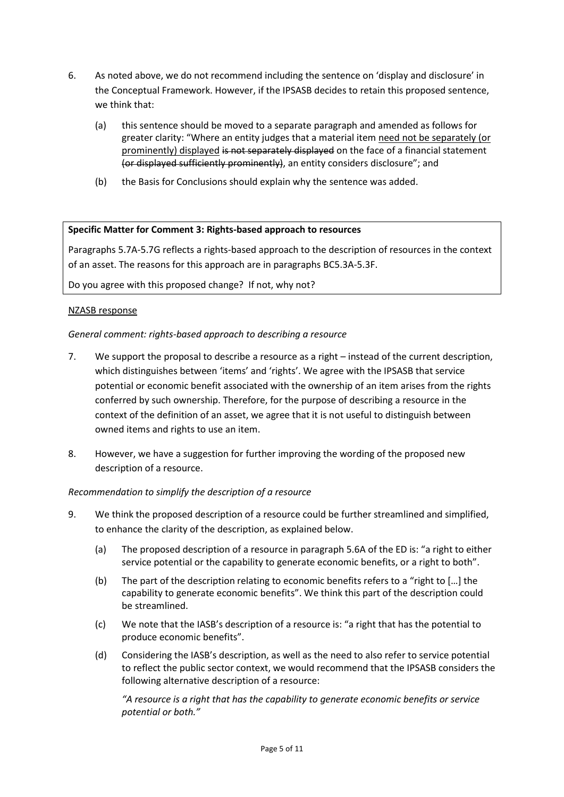- 6. As noted above, we do not recommend including the sentence on 'display and disclosure' in the Conceptual Framework. However, if the IPSASB decides to retain this proposed sentence, we think that:
	- (a) this sentence should be moved to a separate paragraph and amended as follows for greater clarity: "Where an entity judges that a material item need not be separately (or prominently) displayed is not separately displayed on the face of a financial statement (or displayed sufficiently prominently), an entity considers disclosure"; and
	- (b) the Basis for Conclusions should explain why the sentence was added.

### **Specific Matter for Comment 3: Rights-based approach to resources**

Paragraphs 5.7A-5.7G reflects a rights-based approach to the description of resources in the context of an asset. The reasons for this approach are in paragraphs BC5.3A-5.3F.

Do you agree with this proposed change? If not, why not?

### NZASB response

### *General comment: rights-based approach to describing a resource*

- 7. We support the proposal to describe a resource as a right instead of the current description, which distinguishes between 'items' and 'rights'. We agree with the IPSASB that service potential or economic benefit associated with the ownership of an item arises from the rights conferred by such ownership. Therefore, for the purpose of describing a resource in the context of the definition of an asset, we agree that it is not useful to distinguish between owned items and rights to use an item.
- 8. However, we have a suggestion for further improving the wording of the proposed new description of a resource.

## *Recommendation to simplify the description of a resource*

- 9. We think the proposed description of a resource could be further streamlined and simplified, to enhance the clarity of the description, as explained below.
	- (a) The proposed description of a resource in paragraph 5.6A of the ED is: "a right to either service potential or the capability to generate economic benefits, or a right to both".
	- (b) The part of the description relating to economic benefits refers to a "right to […] the capability to generate economic benefits". We think this part of the description could be streamlined.
	- (c) We note that the IASB's description of a resource is: "a right that has the potential to produce economic benefits".
	- (d) Considering the IASB's description, as well as the need to also refer to service potential to reflect the public sector context, we would recommend that the IPSASB considers the following alternative description of a resource:

*"A resource is a right that has the capability to generate economic benefits or service potential or both."*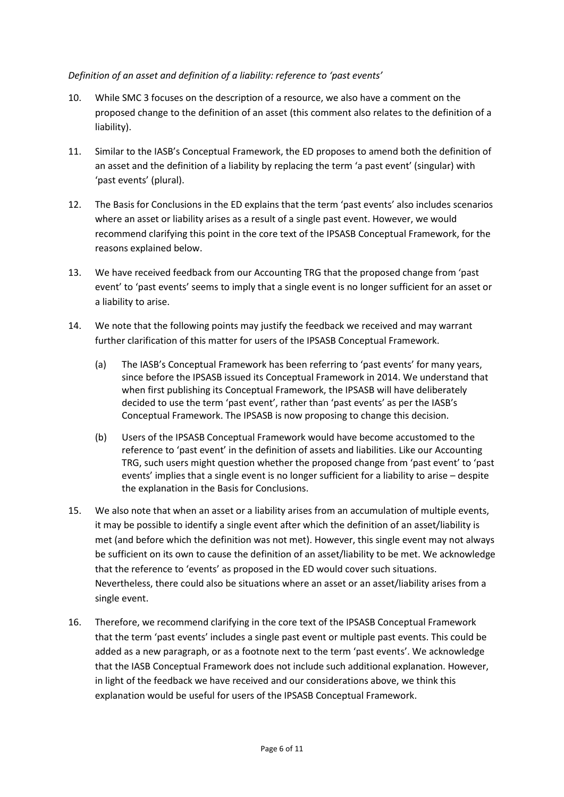## *Definition of an asset and definition of a liability: reference to 'past events'*

- 10. While SMC 3 focuses on the description of a resource, we also have a comment on the proposed change to the definition of an asset (this comment also relates to the definition of a liability).
- 11. Similar to the IASB's Conceptual Framework, the ED proposes to amend both the definition of an asset and the definition of a liability by replacing the term 'a past event' (singular) with 'past events' (plural).
- 12. The Basis for Conclusions in the ED explains that the term 'past events' also includes scenarios where an asset or liability arises as a result of a single past event. However, we would recommend clarifying this point in the core text of the IPSASB Conceptual Framework, for the reasons explained below.
- 13. We have received feedback from our Accounting TRG that the proposed change from 'past event' to 'past events' seems to imply that a single event is no longer sufficient for an asset or a liability to arise.
- 14. We note that the following points may justify the feedback we received and may warrant further clarification of this matter for users of the IPSASB Conceptual Framework.
	- (a) The IASB's Conceptual Framework has been referring to 'past events' for many years, since before the IPSASB issued its Conceptual Framework in 2014. We understand that when first publishing its Conceptual Framework, the IPSASB will have deliberately decided to use the term 'past event', rather than 'past events' as per the IASB's Conceptual Framework. The IPSASB is now proposing to change this decision.
	- (b) Users of the IPSASB Conceptual Framework would have become accustomed to the reference to 'past event' in the definition of assets and liabilities. Like our Accounting TRG, such users might question whether the proposed change from 'past event' to 'past events' implies that a single event is no longer sufficient for a liability to arise – despite the explanation in the Basis for Conclusions.
- 15. We also note that when an asset or a liability arises from an accumulation of multiple events, it may be possible to identify a single event after which the definition of an asset/liability is met (and before which the definition was not met). However, this single event may not always be sufficient on its own to cause the definition of an asset/liability to be met. We acknowledge that the reference to 'events' as proposed in the ED would cover such situations. Nevertheless, there could also be situations where an asset or an asset/liability arises from a single event.
- 16. Therefore, we recommend clarifying in the core text of the IPSASB Conceptual Framework that the term 'past events' includes a single past event or multiple past events. This could be added as a new paragraph, or as a footnote next to the term 'past events'. We acknowledge that the IASB Conceptual Framework does not include such additional explanation. However, in light of the feedback we have received and our considerations above, we think this explanation would be useful for users of the IPSASB Conceptual Framework.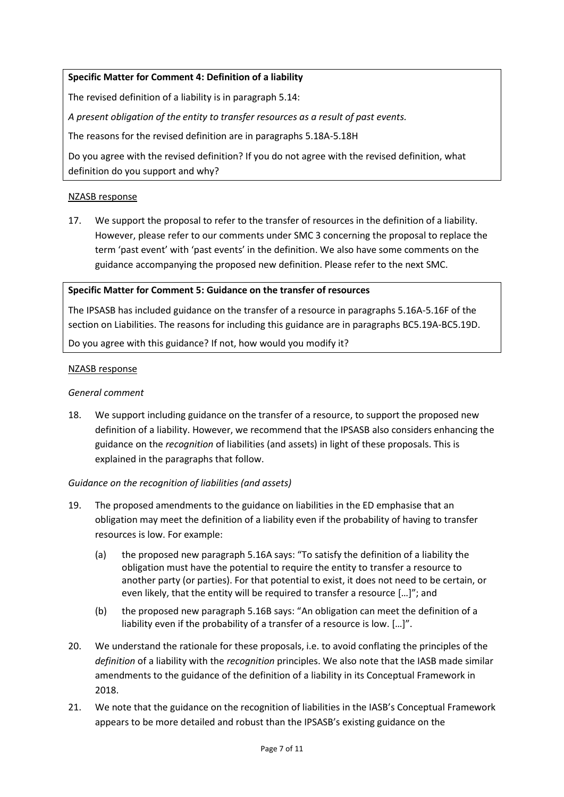## **Specific Matter for Comment 4: Definition of a liability**

The revised definition of a liability is in paragraph 5.14:

*A present obligation of the entity to transfer resources as a result of past events.*

The reasons for the revised definition are in paragraphs 5.18A-5.18H

Do you agree with the revised definition? If you do not agree with the revised definition, what definition do you support and why?

#### NZASB response

17. We support the proposal to refer to the transfer of resources in the definition of a liability. However, please refer to our comments under SMC 3 concerning the proposal to replace the term 'past event' with 'past events' in the definition. We also have some comments on the guidance accompanying the proposed new definition. Please refer to the next SMC.

#### **Specific Matter for Comment 5: Guidance on the transfer of resources**

The IPSASB has included guidance on the transfer of a resource in paragraphs 5.16A-5.16F of the section on Liabilities. The reasons for including this guidance are in paragraphs BC5.19A-BC5.19D.

Do you agree with this guidance? If not, how would you modify it?

#### NZASB response

#### *General comment*

18. We support including guidance on the transfer of a resource, to support the proposed new definition of a liability. However, we recommend that the IPSASB also considers enhancing the guidance on the *recognition* of liabilities (and assets) in light of these proposals. This is explained in the paragraphs that follow.

#### *Guidance on the recognition of liabilities (and assets)*

- 19. The proposed amendments to the guidance on liabilities in the ED emphasise that an obligation may meet the definition of a liability even if the probability of having to transfer resources is low. For example:
	- (a) the proposed new paragraph 5.16A says: "To satisfy the definition of a liability the obligation must have the potential to require the entity to transfer a resource to another party (or parties). For that potential to exist, it does not need to be certain, or even likely, that the entity will be required to transfer a resource […]"; and
	- (b) the proposed new paragraph 5.16B says: "An obligation can meet the definition of a liability even if the probability of a transfer of a resource is low. […]".
- 20. We understand the rationale for these proposals, i.e. to avoid conflating the principles of the *definition* of a liability with the *recognition* principles. We also note that the IASB made similar amendments to the guidance of the definition of a liability in its Conceptual Framework in 2018.
- 21. We note that the guidance on the recognition of liabilities in the IASB's Conceptual Framework appears to be more detailed and robust than the IPSASB's existing guidance on the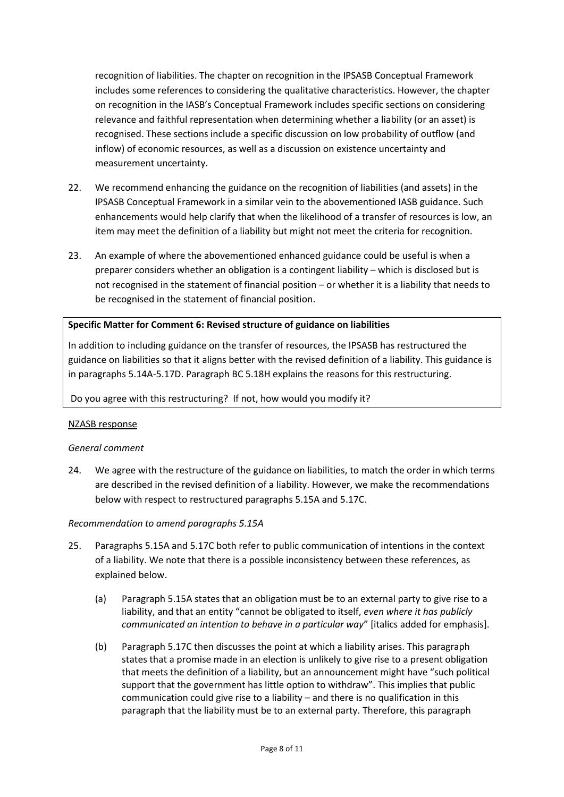recognition of liabilities. The chapter on recognition in the IPSASB Conceptual Framework includes some references to considering the qualitative characteristics. However, the chapter on recognition in the IASB's Conceptual Framework includes specific sections on considering relevance and faithful representation when determining whether a liability (or an asset) is recognised. These sections include a specific discussion on low probability of outflow (and inflow) of economic resources, as well as a discussion on existence uncertainty and measurement uncertainty.

- 22. We recommend enhancing the guidance on the recognition of liabilities (and assets) in the IPSASB Conceptual Framework in a similar vein to the abovementioned IASB guidance. Such enhancements would help clarify that when the likelihood of a transfer of resources is low, an item may meet the definition of a liability but might not meet the criteria for recognition.
- 23. An example of where the abovementioned enhanced guidance could be useful is when a preparer considers whether an obligation is a contingent liability – which is disclosed but is not recognised in the statement of financial position – or whether it is a liability that needs to be recognised in the statement of financial position.

#### **Specific Matter for Comment 6: Revised structure of guidance on liabilities**

In addition to including guidance on the transfer of resources, the IPSASB has restructured the guidance on liabilities so that it aligns better with the revised definition of a liability. This guidance is in paragraphs 5.14A-5.17D. Paragraph BC 5.18H explains the reasons for this restructuring.

Do you agree with this restructuring? If not, how would you modify it?

#### NZASB response

#### *General comment*

24. We agree with the restructure of the guidance on liabilities, to match the order in which terms are described in the revised definition of a liability. However, we make the recommendations below with respect to restructured paragraphs 5.15A and 5.17C.

#### *Recommendation to amend paragraphs 5.15A*

- 25. Paragraphs 5.15A and 5.17C both refer to public communication of intentions in the context of a liability. We note that there is a possible inconsistency between these references, as explained below.
	- (a) Paragraph 5.15A states that an obligation must be to an external party to give rise to a liability, and that an entity "cannot be obligated to itself, *even where it has publicly communicated an intention to behave in a particular way*" [italics added for emphasis].
	- (b) Paragraph 5.17C then discusses the point at which a liability arises. This paragraph states that a promise made in an election is unlikely to give rise to a present obligation that meets the definition of a liability, but an announcement might have "such political support that the government has little option to withdraw". This implies that public communication could give rise to a liability – and there is no qualification in this paragraph that the liability must be to an external party. Therefore, this paragraph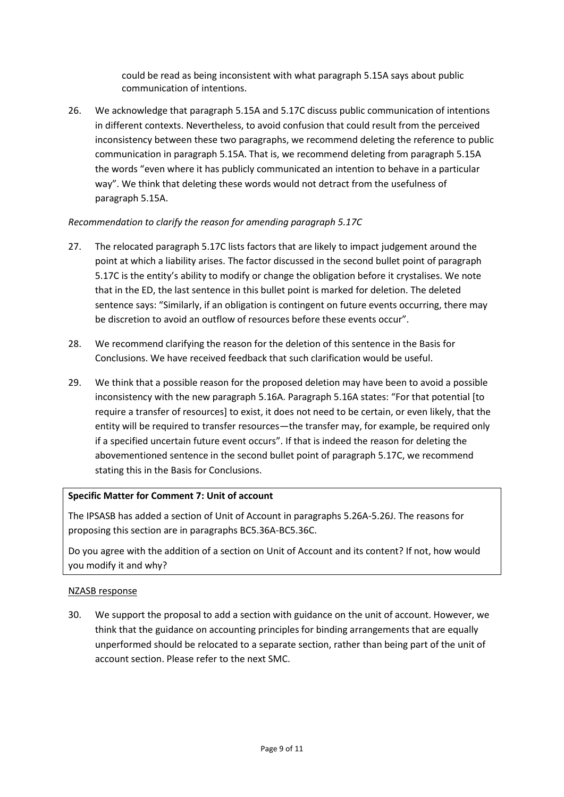could be read as being inconsistent with what paragraph 5.15A says about public communication of intentions.

26. We acknowledge that paragraph 5.15A and 5.17C discuss public communication of intentions in different contexts. Nevertheless, to avoid confusion that could result from the perceived inconsistency between these two paragraphs, we recommend deleting the reference to public communication in paragraph 5.15A. That is, we recommend deleting from paragraph 5.15A the words "even where it has publicly communicated an intention to behave in a particular way". We think that deleting these words would not detract from the usefulness of paragraph 5.15A.

## *Recommendation to clarify the reason for amending paragraph 5.17C*

- 27. The relocated paragraph 5.17C lists factors that are likely to impact judgement around the point at which a liability arises. The factor discussed in the second bullet point of paragraph 5.17C is the entity's ability to modify or change the obligation before it crystalises. We note that in the ED, the last sentence in this bullet point is marked for deletion. The deleted sentence says: "Similarly, if an obligation is contingent on future events occurring, there may be discretion to avoid an outflow of resources before these events occur".
- 28. We recommend clarifying the reason for the deletion of this sentence in the Basis for Conclusions. We have received feedback that such clarification would be useful.
- 29. We think that a possible reason for the proposed deletion may have been to avoid a possible inconsistency with the new paragraph 5.16A. Paragraph 5.16A states: "For that potential [to require a transfer of resources] to exist, it does not need to be certain, or even likely, that the entity will be required to transfer resources—the transfer may, for example, be required only if a specified uncertain future event occurs". If that is indeed the reason for deleting the abovementioned sentence in the second bullet point of paragraph 5.17C, we recommend stating this in the Basis for Conclusions.

## **Specific Matter for Comment 7: Unit of account**

The IPSASB has added a section of Unit of Account in paragraphs 5.26A-5.26J. The reasons for proposing this section are in paragraphs BC5.36A-BC5.36C.

Do you agree with the addition of a section on Unit of Account and its content? If not, how would you modify it and why?

## NZASB response

30. We support the proposal to add a section with guidance on the unit of account. However, we think that the guidance on accounting principles for binding arrangements that are equally unperformed should be relocated to a separate section, rather than being part of the unit of account section. Please refer to the next SMC.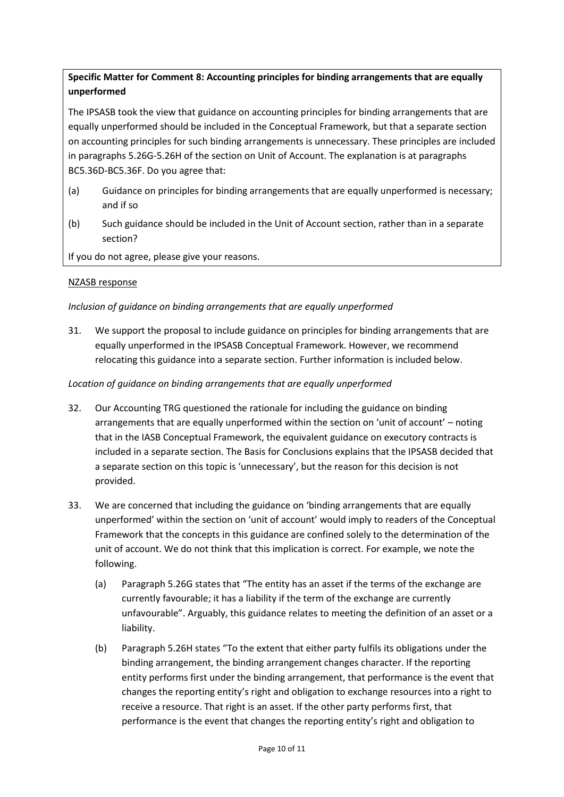# **Specific Matter for Comment 8: Accounting principles for binding arrangements that are equally unperformed**

The IPSASB took the view that guidance on accounting principles for binding arrangements that are equally unperformed should be included in the Conceptual Framework, but that a separate section on accounting principles for such binding arrangements is unnecessary. These principles are included in paragraphs 5.26G-5.26H of the section on Unit of Account. The explanation is at paragraphs BC5.36D-BC5.36F. Do you agree that:

- (a) Guidance on principles for binding arrangements that are equally unperformed is necessary; and if so
- (b) Such guidance should be included in the Unit of Account section, rather than in a separate section?

If you do not agree, please give your reasons.

## NZASB response

## *Inclusion of guidance on binding arrangements that are equally unperformed*

31. We support the proposal to include guidance on principles for binding arrangements that are equally unperformed in the IPSASB Conceptual Framework. However, we recommend relocating this guidance into a separate section. Further information is included below.

## *Location of guidance on binding arrangements that are equally unperformed*

- 32. Our Accounting TRG questioned the rationale for including the guidance on binding arrangements that are equally unperformed within the section on 'unit of account' – noting that in the IASB Conceptual Framework, the equivalent guidance on executory contracts is included in a separate section. The Basis for Conclusions explains that the IPSASB decided that a separate section on this topic is 'unnecessary', but the reason for this decision is not provided.
- 33. We are concerned that including the guidance on 'binding arrangements that are equally unperformed' within the section on 'unit of account' would imply to readers of the Conceptual Framework that the concepts in this guidance are confined solely to the determination of the unit of account. We do not think that this implication is correct. For example, we note the following.
	- (a) Paragraph 5.26G states that "The entity has an asset if the terms of the exchange are currently favourable; it has a liability if the term of the exchange are currently unfavourable". Arguably, this guidance relates to meeting the definition of an asset or a liability.
	- (b) Paragraph 5.26H states "To the extent that either party fulfils its obligations under the binding arrangement, the binding arrangement changes character. If the reporting entity performs first under the binding arrangement, that performance is the event that changes the reporting entity's right and obligation to exchange resources into a right to receive a resource. That right is an asset. If the other party performs first, that performance is the event that changes the reporting entity's right and obligation to